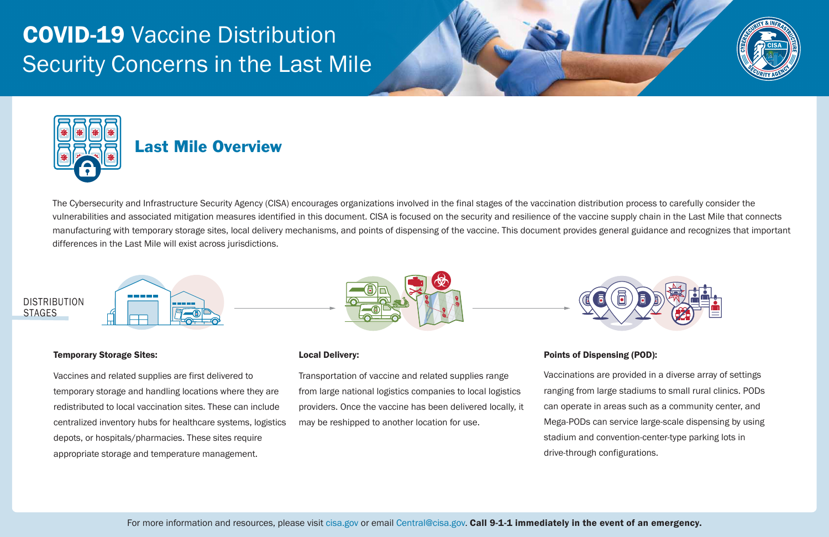# COVID-19 Vaccine Distribution Security Concerns in the Last Mile



The Cybersecurity and Infrastructure Security Agency (CISA) encourages organizations involved in the final stages of the vaccination distribution process to carefully consider the vulnerabilities and associated mitigation measures identified in this document. CISA is focused on the security and resilience of the vaccine supply chain in the Last Mile that connects manufacturing with temporary storage sites, local delivery mechanisms, and points of dispensing of the vaccine. This document provides general guidance and recognizes that important differences in the Last Mile will exist across jurisdictions.



### Local Delivery:

Transportation of vaccine and related supplies range from large national logistics companies to local logistics providers. Once the vaccine has been delivered locally, it may be reshipped to another location for use.

## DISTRIBUTION STAGES

## Points of Dispensing (POD):

Vaccinations are provided in a diverse array of settings ranging from large stadiums to small rural clinics. PODs can operate in areas such as a community center, and Mega-PODs can service large-scale dispensing by using stadium and convention-center-type parking lots in drive-through configurations.





### Temporary Storage Sites:

Vaccines and related supplies are first delivered to temporary storage and handling locations where they are redistributed to local vaccination sites. These can include centralized inventory hubs for healthcare systems, logistics depots, or hospitals/pharmacies. These sites require appropriate storage and temperature management.

## Last Mile Overview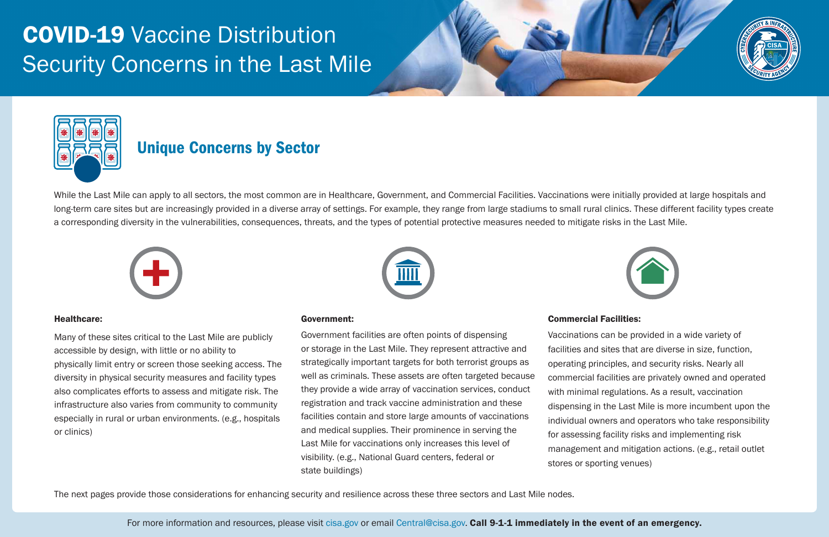## Unique Concerns by Sector

While the Last Mile can apply to all sectors, the most common are in Healthcare, Government, and Commercial Facilities. Vaccinations were initially provided at large hospitals and long-term care sites but are increasingly provided in a diverse array of settings. For example, they range from large stadiums to small rural clinics. These different facility types create a corresponding diversity in the vulnerabilities, consequences, threats, and the types of potential protective measures needed to mitigate risks in the Last Mile.





### Healthcare:

Many of these sites critical to the Last Mile are publicly accessible by design, with little or no ability to physically limit entry or screen those seeking access. The diversity in physical security measures and facility types also complicates efforts to assess and mitigate risk. The infrastructure also varies from community to community especially in rural or urban environments. (e.g., hospitals or clinics)

### Government:

Government facilities are often points of dispensing or storage in the Last Mile. They represent attractive and strategically important targets for both terrorist groups as well as criminals. These assets are often targeted because they provide a wide array of vaccination services, conduct registration and track vaccine administration and these facilities contain and store large amounts of vaccinations and medical supplies. Their prominence in serving the Last Mile for vaccinations only increases this level of visibility. (e.g., National Guard centers, federal or state buildings)

### Commercial Facilities:

Vaccinations can be provided in a wide variety of facilities and sites that are diverse in size, function, operating principles, and security risks. Nearly all commercial facilities are privately owned and operated with minimal regulations. As a result, vaccination dispensing in the Last Mile is more incumbent upon the individual owners and operators who take responsibility for assessing facility risks and implementing risk management and mitigation actions. (e.g., retail outlet stores or sporting venues)

The next pages provide those considerations for enhancing security and resilience across these three sectors and Last Mile nodes.

For more information and resources, please visit [cisa.gov o](https://www.cisa.gov)r email [Central@cisa.gov.](mailto:Central@cisa.gov) Call 9-1-1 immediately in the event of an emergency.



# COVID-19 Vaccine Distribution Security Concerns in the Last Mile



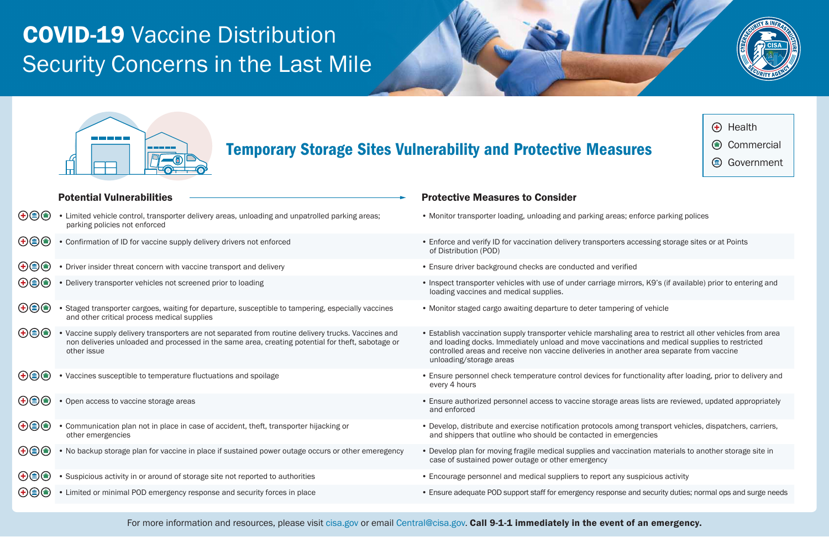# COVID-19 Vaccine Distribution Security Concerns in the Last Mile



### Potential Vulnerabilities

 $\cap$   $\cap$ 

## Temporary Storage Sites Vulnerability and Protective Measures

Protective Measures to Consider

| $\bigoplus_{i=1}^n \bigoplus_{i=1}^n \bigoplus_{j=1}^n \bigoplus_{j=1}^n \bigoplus_{j=1}^n \bigoplus_{j=1}^n \bigoplus_{j=1}^n \bigoplus_{j=1}^n \bigoplus_{j=1}^n \bigoplus_{j=1}^n \bigoplus_{j=1}^n \bigoplus_{j=1}^n \bigoplus_{j=1}^n \bigoplus_{j=1}^n \bigoplus_{j=1}^n \bigoplus_{j=1}^n \bigoplus_{j=1}^n \bigoplus_{j=1}^n \bigoplus_{j=1}^n \bigoplus_{j=1}^n$ | • Limited vehicle control, transporter delivery areas, unloading and unpatrolled parking areas;<br>parking policies not enforced                                                                                        | • Monitor transporter loading, unloading and parking a                                                                                                                                        |
|---------------------------------------------------------------------------------------------------------------------------------------------------------------------------------------------------------------------------------------------------------------------------------------------------------------------------------------------------------------------------|-------------------------------------------------------------------------------------------------------------------------------------------------------------------------------------------------------------------------|-----------------------------------------------------------------------------------------------------------------------------------------------------------------------------------------------|
| $\bigoplus\mathsf{O}$                                                                                                                                                                                                                                                                                                                                                     | • Confirmation of ID for vaccine supply delivery drivers not enforced                                                                                                                                                   | • Enforce and verify ID for vaccination delivery transpo<br>of Distribution (POD)                                                                                                             |
| $\bigoplus\,mathbb{O}$                                                                                                                                                                                                                                                                                                                                                    | • Driver insider threat concern with vaccine transport and delivery                                                                                                                                                     | • Ensure driver background checks are conducted and                                                                                                                                           |
| $\bigoplus\,mathbb{O}$                                                                                                                                                                                                                                                                                                                                                    | • Delivery transporter vehicles not screened prior to loading                                                                                                                                                           | • Inspect transporter vehicles with use of under carria<br>loading vaccines and medical supplies.                                                                                             |
| $\bigoplus \textcircled{\scriptsize{\textcircled{\#}}}\bigoplus$                                                                                                                                                                                                                                                                                                          | • Staged transporter cargoes, waiting for departure, susceptible to tampering, especially vaccines<br>and other critical process medical supplies                                                                       | • Monitor staged cargo awaiting departure to deter tar                                                                                                                                        |
| $\bigoplus\mathsf{D}$                                                                                                                                                                                                                                                                                                                                                     | • Vaccine supply delivery transporters are not separated from routine delivery trucks. Vaccines and<br>non deliveries unloaded and processed in the same area, creating potential for theft, sabotage or<br>other issue | • Establish vaccination supply transporter vehicle mar<br>and loading docks. Immediately unload and move va<br>controlled areas and receive non vaccine deliveries<br>unloading/storage areas |
| $\bigoplus\mathsf{O}$                                                                                                                                                                                                                                                                                                                                                     | • Vaccines susceptible to temperature fluctuations and spoilage                                                                                                                                                         | • Ensure personnel check temperature control devices<br>every 4 hours                                                                                                                         |
| $\bigoplus\mathsf{O}$                                                                                                                                                                                                                                                                                                                                                     | • Open access to vaccine storage areas                                                                                                                                                                                  | • Ensure authorized personnel access to vaccine storal<br>and enforced                                                                                                                        |
| $\bigoplus\mathsf{O}$                                                                                                                                                                                                                                                                                                                                                     | • Communication plan not in place in case of accident, theft, transporter hijacking or<br>other emergencies                                                                                                             | • Develop, distribute and exercise notification protoco<br>and shippers that outline who should be contacted i                                                                                |
| $\bigoplus\,mathbb{O}$                                                                                                                                                                                                                                                                                                                                                    | • No backup storage plan for vaccine in place if sustained power outage occurs or other emeregency                                                                                                                      | • Develop plan for moving fragile medical supplies and<br>case of sustained power outage or other emergency                                                                                   |
| $\bigoplus\mathsf{O}$                                                                                                                                                                                                                                                                                                                                                     | • Suspicious activity in or around of storage site not reported to authorities                                                                                                                                          | • Encourage personnel and medical suppliers to repor                                                                                                                                          |
| $\bigoplus\,mathbb{O}$                                                                                                                                                                                                                                                                                                                                                    | • Limited or minimal POD emergency response and security forces in place                                                                                                                                                | • Ensure adequate POD support staff for emergency res                                                                                                                                         |
|                                                                                                                                                                                                                                                                                                                                                                           |                                                                                                                                                                                                                         |                                                                                                                                                                                               |

For more information and resources, please visit [cisa.gov](https://www.cisa.gov) or email [Central@cisa.gov.](mailto:Central@cisa.gov) Call 9-1-1 immediately in the event of an emergency.





- Health Commercial **Government**
- areas; enforce parking polices
- orters accessing storage sites or at Points
- d verified
- ge mirrors, K9's (if available) prior to entering and
- mpering of vehicle
- shaling area to restrict all other vehicles from area accinations and medical supplies to restricted in another area separate from vaccine
- es for functionality after loading, prior to delivery and
- age areas lists are reviewed, updated appropriately
- bls among transport vehicles, dispatchers, carriers, in emergencies
- d vaccination materials to another storage site in
- rt any suspicious activity
- ponse and security duties; normal ops and surge needs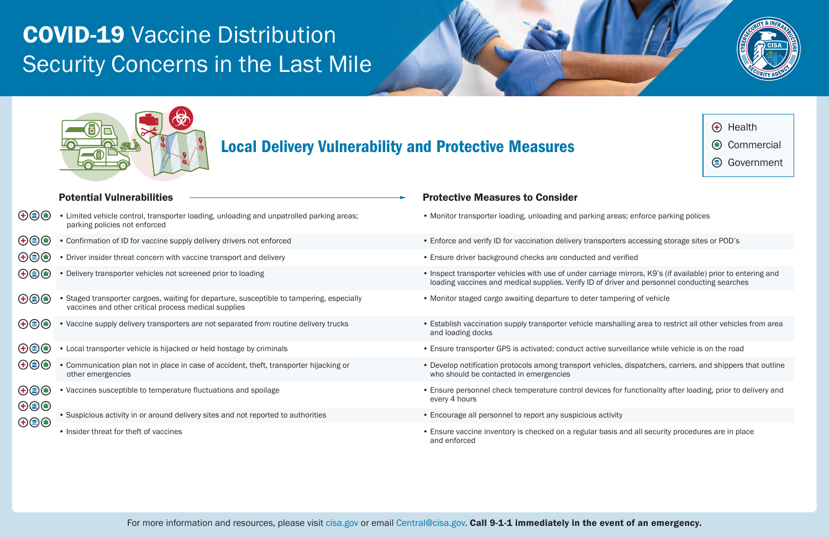

# COVID-19 Vaccine Distribution Security Concerns in the Last Mile



## Potential Vulnerabilities

## Protective Measures to Consider

## Local Delivery Vulnerability and Protective Measures

| $\bigoplus_{i=1}^n \bigoplus_{j=1}^n \bigoplus_{j=1}^n \bigoplus_{j=1}^n \bigoplus_{j=1}^n \bigoplus_{j=1}^n \bigoplus_{j=1}^n \bigoplus_{j=1}^n \bigoplus_{j=1}^n \bigoplus_{j=1}^n \bigoplus_{j=1}^n \bigoplus_{j=1}^n \bigoplus_{j=1}^n \bigoplus_{j=1}^n \bigoplus_{j=1}^n \bigoplus_{j=1}^n \bigoplus_{j=1}^n \bigoplus_{j=1}^n \bigoplus_{j=1}^n \bigoplus_{j=1}^n$ | Limited vehicle control, transporter loading, unloading and unpatrolled parking areas;<br>parking policies not enforced                           |
|---------------------------------------------------------------------------------------------------------------------------------------------------------------------------------------------------------------------------------------------------------------------------------------------------------------------------------------------------------------------------|---------------------------------------------------------------------------------------------------------------------------------------------------|
| $(+)(\hat{=} )$                                                                                                                                                                                                                                                                                                                                                           | • Confirmation of ID for vaccine supply delivery drivers not enforced                                                                             |
| $\bigoplus(\hspace{-1.5pt}\mathbf{m})$                                                                                                                                                                                                                                                                                                                                    | • Driver insider threat concern with vaccine transport and delivery                                                                               |
| $\bigoplus \textcircled{\scriptsize{\textcircled{\#}}}\bigoplus$                                                                                                                                                                                                                                                                                                          | • Delivery transporter vehicles not screened prior to loading                                                                                     |
| (画)<br>(+)                                                                                                                                                                                                                                                                                                                                                                | • Staged transporter cargoes, waiting for departure, susceptible to tampering, especially<br>vaccines and other critical process medical supplies |
| $(\pm)(\text{m})$                                                                                                                                                                                                                                                                                                                                                         | • Vaccine supply delivery transporters are not separated from routine delivery trucks                                                             |
| $\circled{m}$<br>$\left( \bm{+}\right)$                                                                                                                                                                                                                                                                                                                                   | • Local transporter vehicle is hijacked or held hostage by criminals                                                                              |
| $\bigoplus_{i=1}^n \bigoplus_{j=1}^n \bigoplus_{j=1}^n \bigoplus_{j=1}^n \bigoplus_{j=1}^n \bigoplus_{j=1}^n \bigoplus_{j=1}^n \bigoplus_{j=1}^n \bigoplus_{j=1}^n \bigoplus_{j=1}^n \bigoplus_{j=1}^n \bigoplus_{j=1}^n \bigoplus_{j=1}^n \bigoplus_{j=1}^n \bigoplus_{j=1}^n \bigoplus_{j=1}^n \bigoplus_{j=1}^n \bigoplus_{j=1}^n \bigoplus_{j=1}^n \bigoplus_{j=1}^n$ | • Communication plan not in place in case of accident, theft, transporter hijacking or<br>other emergencies                                       |
| $\circled{m}$<br>$\left( \bm{+}\right)$<br>$\bigoplus\,mathbb{D}$                                                                                                                                                                                                                                                                                                         | • Vaccines susceptible to temperature fluctuations and spoilage                                                                                   |
| $\mathbf{H}(\mathbf{m})$                                                                                                                                                                                                                                                                                                                                                  | • Suspicious activity in or around delivery sites and not reported to authorities                                                                 |
|                                                                                                                                                                                                                                                                                                                                                                           | • Insider threat for theft of vaccines                                                                                                            |

- Monitor transporter loading, unloading and parking areas; enforce parking polices
- Enforce and verify ID for vaccination delivery transporters accessing storage sites or POD's
- Ensure driver background checks are conducted and verified
- Inspect transporter vehicles with use of under carriage mirrors, K9's (if available) prior to entering and loading vaccines and medical supplies. Verify ID of driver and personnel conducting searches
- Monitor staged cargo awaiting departure to deter tampering of vehicle
- Establish vaccination supply transporter vehicle marshalling area to restrict all other vehicles from area and loading docks
- Ensure transporter GPS is activated; conduct active surveillance while vehicle is on the road
- Develop notification protocols among transport vehicles, dispatchers, carriers, and shippers that outline who should be contacted in emergencies
- Ensure personnel check temperature control devices for functionality after loading, prior to delivery and every 4 hours
- Encourage all personnel to report any suspicious activity
- Ensure vaccine inventory is checked on a regular basis and all security procedures are in place and enforced

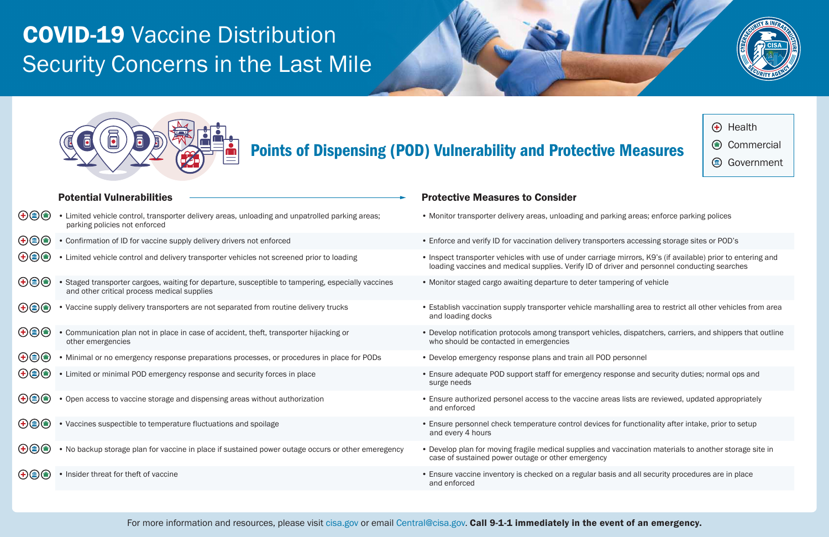## Points of Dispensing (POD) Vulnerability and Protective Measures

|                                                                                                                                                                                                                                                                                                                                                                                                                           | <b>Potential Vulnerabilities</b>                                                                                                                  | <b>Protective Measure</b>                              |
|---------------------------------------------------------------------------------------------------------------------------------------------------------------------------------------------------------------------------------------------------------------------------------------------------------------------------------------------------------------------------------------------------------------------------|---------------------------------------------------------------------------------------------------------------------------------------------------|--------------------------------------------------------|
| $\bigoplus\limits_{i=1}^n\bigoplus\limits_{i=1}^n\bigoplus\limits_{i=1}^n\bigoplus\limits_{i=1}^n\bigoplus\limits_{i=1}^n\bigoplus\limits_{i=1}^n\bigoplus\limits_{i=1}^n\bigoplus\limits_{i=1}^n\bigoplus\limits_{i=1}^n\bigoplus\limits_{i=1}^n\bigoplus\limits_{i=1}^n\bigoplus\limits_{i=1}^n\bigoplus\limits_{i=1}^n\bigoplus\limits_{i=1}^n\bigoplus\limits_{i=1}^n\bigoplus\limits_{i=1}^n\bigoplus\limits_{i=1}^$ | • Limited vehicle control, transporter delivery areas, unloading and unpatrolled parking areas;<br>parking policies not enforced                  | • Monitor transporter deliv                            |
| $\bigoplus\limits_{i=1}^n\bigoplus\limits_{i=1}^n\bigoplus\limits_{i=1}^n\bigoplus\limits_{i=1}^n\bigoplus\limits_{i=1}^n\bigoplus\limits_{i=1}^n\bigoplus\limits_{i=1}^n\bigoplus\limits_{i=1}^n\bigoplus\limits_{i=1}^n\bigoplus\limits_{i=1}^n\bigoplus\limits_{i=1}^n\bigoplus\limits_{i=1}^n\bigoplus\limits_{i=1}^n\bigoplus\limits_{i=1}^n\bigoplus\limits_{i=1}^n\bigoplus\limits_{i=1}^n\bigoplus\limits_{i=1}^$ | • Confirmation of ID for vaccine supply delivery drivers not enforced                                                                             | • Enforce and verify ID for                            |
| $\bigoplus\limits_{i=1}^n\bigoplus\limits_{i=1}^n\bigoplus\limits_{i=1}^n\bigoplus\limits_{i=1}^n\bigoplus\limits_{i=1}^n\bigoplus\limits_{i=1}^n\bigoplus\limits_{i=1}^n\bigoplus\limits_{i=1}^n\bigoplus\limits_{i=1}^n\bigoplus\limits_{i=1}^n\bigoplus\limits_{i=1}^n\bigoplus\limits_{i=1}^n\bigoplus\limits_{i=1}^n\bigoplus\limits_{i=1}^n\bigoplus\limits_{i=1}^n\bigoplus\limits_{i=1}^n\bigoplus\limits_{i=1}^$ | • Limited vehicle control and delivery transporter vehicles not screened prior to loading                                                         | • Inspect transporter vehic<br>loading vaccines and me |
| $\bigoplus\mathsf{O}$                                                                                                                                                                                                                                                                                                                                                                                                     | • Staged transporter cargoes, waiting for departure, susceptible to tampering, especially vaccines<br>and other critical process medical supplies | • Monitor staged cargo aw                              |
| $\bigoplus\limits_{i=1}^n\bigoplus\limits_{i=1}^n\bigoplus\limits_{i=1}^n\bigoplus\limits_{i=1}^n\bigoplus\limits_{i=1}^n\bigoplus\limits_{i=1}^n\bigoplus\limits_{i=1}^n\bigoplus\limits_{i=1}^n\bigoplus\limits_{i=1}^n\bigoplus\limits_{i=1}^n\bigoplus\limits_{i=1}^n\bigoplus\limits_{i=1}^n\bigoplus\limits_{i=1}^n\bigoplus\limits_{i=1}^n\bigoplus\limits_{i=1}^n\bigoplus\limits_{i=1}^n\bigoplus\limits_{i=1}^$ | • Vaccine supply delivery transporters are not separated from routine delivery trucks                                                             | • Establish vaccination su<br>and loading docks        |
| $\bigoplus\mathsf{D}$                                                                                                                                                                                                                                                                                                                                                                                                     | • Communication plan not in place in case of accident, theft, transporter hijacking or<br>other emergencies                                       | • Develop notification prot<br>who should be contacted |
| $\bigoplus\limits_{i=1}^n\bigoplus\limits_{i=1}^n\bigoplus\limits_{i=1}^n\bigoplus\limits_{i=1}^n\bigoplus\limits_{i=1}^n\bigoplus\limits_{i=1}^n\bigoplus\limits_{i=1}^n\bigoplus\limits_{i=1}^n\bigoplus\limits_{i=1}^n\bigoplus\limits_{i=1}^n\bigoplus\limits_{i=1}^n\bigoplus\limits_{i=1}^n\bigoplus\limits_{i=1}^n\bigoplus\limits_{i=1}^n\bigoplus\limits_{i=1}^n\bigoplus\limits_{i=1}^n\bigoplus\limits_{i=1}^$ | • Minimal or no emergency response preparations processes, or procedures in place for PODs                                                        | • Develop emergency resp                               |
| $\bigoplus\limits_{i=1}^n\bigoplus\limits_{i=1}^n\bigoplus\limits_{i=1}^n\bigoplus\limits_{i=1}^n\bigoplus\limits_{i=1}^n\bigoplus\limits_{i=1}^n\bigoplus\limits_{i=1}^n\bigoplus\limits_{i=1}^n\bigoplus\limits_{i=1}^n\bigoplus\limits_{i=1}^n\bigoplus\limits_{i=1}^n\bigoplus\limits_{i=1}^n\bigoplus\limits_{i=1}^n\bigoplus\limits_{i=1}^n\bigoplus\limits_{i=1}^n\bigoplus\limits_{i=1}^n\bigoplus\limits_{i=1}^$ | • Limited or minimal POD emergency response and security forces in place                                                                          | • Ensure adequate POD su<br>surge needs                |
| $\bigoplus\,mathbb{D}$                                                                                                                                                                                                                                                                                                                                                                                                    | • Open access to vaccine storage and dispensing areas without authorization                                                                       | • Ensure authorized perso<br>and enforced              |
| $\bigoplus\,mathsf{D}$                                                                                                                                                                                                                                                                                                                                                                                                    | • Vaccines suspectible to temperature fluctuations and spoilage                                                                                   | • Ensure personnel check<br>and every 4 hours          |
| $\bigoplus\textcircled{\tiny{\textcircled{\#}}}\bigoplus$                                                                                                                                                                                                                                                                                                                                                                 | • No backup storage plan for vaccine in place if sustained power outage occurs or other emeregency                                                | • Develop plan for moving<br>case of sustained power   |
| $\bigoplus_{i=1}^n \bigoplus_{i=1}^n \bigoplus_{i=1}^n \bigoplus_{i=1}^n \bigoplus_{i=1}^n \bigoplus_{i=1}^n \bigoplus_{i=1}^n \bigoplus_{i=1}^n \bigoplus_{i=1}^n \bigoplus_{i=1}^n \bigoplus_{i=1}^n \bigoplus_{i=1}^n \bigoplus_{i=1}^n \bigoplus_{i=1}^n \bigoplus_{i=1}^n \bigoplus_{i=1}^n \bigoplus_{i=1}^n \bigoplus_{i=1}^n \bigoplus_{i=1}^n \bigoplus_{i=1}^n$                                                 | • Insider threat for theft of vaccine                                                                                                             | • Ensure vaccine inventor<br>and enforced              |
|                                                                                                                                                                                                                                                                                                                                                                                                                           |                                                                                                                                                   |                                                        |

es to Consider

- very areas, unloading and parking areas; enforce parking polices
- vaccination delivery transporters accessing storage sites or POD's
- cles with use of under carriage mirrors, K9's (if available) prior to entering and edical supplies. Verify ID of driver and personnel conducting searches
- vaiting departure to deter tampering of vehicle
- pply transporter vehicle marshalling area to restrict all other vehicles from area
- tocols among transport vehicles, dispatchers, carriers, and shippers that outline d in emergencies
- oonse plans and train all POD personnel
- upport staff for emergency response and security duties; normal ops and
- onel access to the vaccine areas lists are reviewed, updated appropriately
- temperature control devices for functionality after intake, prior to setup
- fragile medical supplies and vaccination materials to another storage site in outage or other emergency
- $\gamma$  is checked on a regular basis and all security procedures are in place





- Health
- Commercial
- **Government**

# COVID-19 Vaccine Distribution Security Concerns in the Last Mile